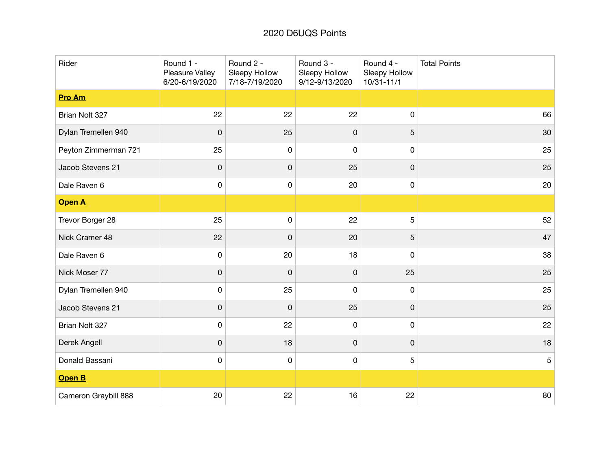## 2020 D6UQS Points

| Rider                | Round 1 -<br>Pleasure Valley<br>6/20-6/19/2020 | Round 2 -<br>Sleepy Hollow<br>7/18-7/19/2020 | Round 3 -<br>Sleepy Hollow<br>9/12-9/13/2020 | Round 4 -<br>Sleepy Hollow<br>$10/31 - 11/1$ | <b>Total Points</b> |
|----------------------|------------------------------------------------|----------------------------------------------|----------------------------------------------|----------------------------------------------|---------------------|
| <b>Pro Am</b>        |                                                |                                              |                                              |                                              |                     |
| Brian Nolt 327       | 22                                             | 22                                           | 22                                           | 0                                            | 66                  |
| Dylan Tremellen 940  | 0                                              | 25                                           | 0                                            | 5                                            | 30                  |
| Peyton Zimmerman 721 | 25                                             | 0                                            | 0                                            | 0                                            | 25                  |
| Jacob Stevens 21     | $\mathbf 0$                                    | 0                                            | 25                                           | $\pmb{0}$                                    | 25                  |
| Dale Raven 6         | 0                                              | 0                                            | 20                                           | 0                                            | 20                  |
| <b>Open A</b>        |                                                |                                              |                                              |                                              |                     |
| Trevor Borger 28     | 25                                             | 0                                            | 22                                           | $\sqrt{5}$                                   | 52                  |
| Nick Cramer 48       | 22                                             | $\mathsf 0$                                  | 20                                           | $\overline{5}$                               | 47                  |
| Dale Raven 6         | 0                                              | 20                                           | 18                                           | 0                                            | 38                  |
| Nick Moser 77        | $\mathbf 0$                                    | 0                                            | 0                                            | 25                                           | 25                  |
| Dylan Tremellen 940  | $\pmb{0}$                                      | 25                                           | 0                                            | $\mathsf 0$                                  | 25                  |
| Jacob Stevens 21     | $\mathsf 0$                                    | $\mathsf 0$                                  | 25                                           | $\pmb{0}$                                    | 25                  |
| Brian Nolt 327       | 0                                              | 22                                           | 0                                            | 0                                            | 22                  |
| Derek Angell         | $\mathsf 0$                                    | 18                                           | 0                                            | $\pmb{0}$                                    | 18                  |
| Donald Bassani       | 0                                              | 0                                            | 0                                            | 5                                            | 5                   |
| Open B               |                                                |                                              |                                              |                                              |                     |
| Cameron Graybill 888 | 20                                             | 22                                           | 16                                           | 22                                           | 80                  |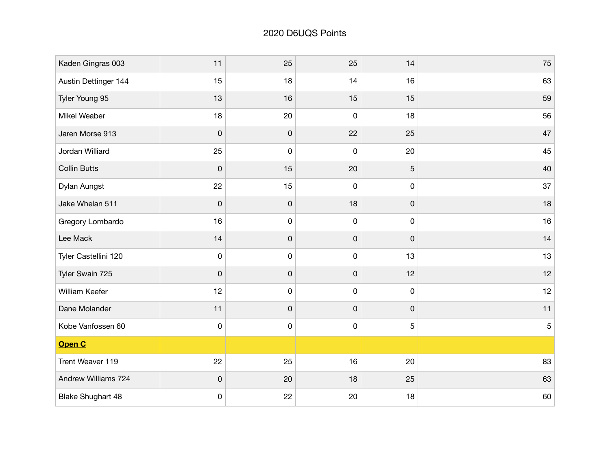| Kaden Gingras 003        | 11                  | 25 | 25          | 14          | 75         |
|--------------------------|---------------------|----|-------------|-------------|------------|
| Austin Dettinger 144     | 15                  | 18 | 14          | 16          | 63         |
| Tyler Young 95           | 13                  | 16 | 15          | 15          | 59         |
| Mikel Weaber             | 18                  | 20 | $\mathbf 0$ | 18          | 56         |
| Jaren Morse 913          | $\mathsf 0$         | 0  | 22          | 25          | 47         |
| Jordan Williard          | 25                  | 0  | $\pmb{0}$   | 20          | 45         |
| <b>Collin Butts</b>      | $\mathsf 0$         | 15 | 20          | 5           | 40         |
| Dylan Aungst             | 22                  | 15 | $\mathbf 0$ | $\mathsf 0$ | 37         |
| Jake Whelan 511          | $\pmb{0}$           | 0  | 18          | $\pmb{0}$   | 18         |
| Gregory Lombardo         | 16                  | 0  | $\pmb{0}$   | 0           | 16         |
| Lee Mack                 | 14                  | 0  | 0           | 0           | 14         |
| Tyler Castellini 120     | $\pmb{0}$           | 0  | $\pmb{0}$   | 13          | 13         |
| Tyler Swain 725          | $\mathsf 0$         | 0  | 0           | 12          | 12         |
| William Keefer           | 12                  | 0  | $\pmb{0}$   | $\pmb{0}$   | 12         |
| Dane Molander            | 11                  | 0  | 0           | 0           | 11         |
| Kobe Vanfossen 60        | $\mathsf{O}\xspace$ | 0  | $\pmb{0}$   | 5           | $\sqrt{5}$ |
| Open C                   |                     |    |             |             |            |
| Trent Weaver 119         | 22                  | 25 | 16          | 20          | 83         |
| Andrew Williams 724      | 0                   | 20 | 18          | 25          | 63         |
| <b>Blake Shughart 48</b> | $\pmb{0}$           | 22 | 20          | 18          | 60         |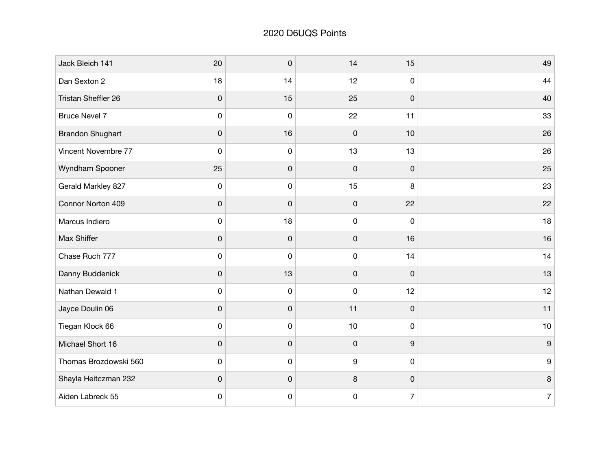| Jack Bleich 141         | 20          | 0  | 14               | 15             | 49               |
|-------------------------|-------------|----|------------------|----------------|------------------|
| Dan Sexton 2            | 18          | 14 | 12               | 0              | 44               |
| Tristan Sheffler 26     | $\mathsf 0$ | 15 | 25               | 0              | 40               |
| <b>Bruce Nevel 7</b>    | $\mathsf 0$ | 0  | 22               | 11             | 33               |
| <b>Brandon Shughart</b> | $\mathsf 0$ | 16 | $\mathsf 0$      | 10             | 26               |
| Vincent Novembre 77     | 0           | 0  | 13               | 13             | 26               |
| Wyndham Spooner         | 25          | 0  | 0                | 0              | 25               |
| Gerald Markley 827      | $\mathsf 0$ | 0  | 15               | 8              | 23               |
| Connor Norton 409       | $\pmb{0}$   | 0  | $\pmb{0}$        | 22             | 22               |
| Marcus Indiero          | 0           | 18 | 0                | 0              | 18               |
| Max Shiffer             | $\mathsf 0$ | 0  | 0                | 16             | 16               |
| Chase Ruch 777          | 0           | 0  | 0                | 14             | 14               |
| Danny Buddenick         | $\mathsf 0$ | 13 | 0                | 0              | 13               |
| Nathan Dewald 1         | 0           | 0  | 0                | 12             | 12               |
| Jayce Doulin 06         | $\mathsf 0$ | 0  | 11               | 0              | 11               |
| Tiegan Klock 66         | 0           | 0  | 10               | 0              | $10$             |
| Michael Short 16        | $\pmb{0}$   | 0  | 0                | 9              | 9                |
| Thomas Brozdowski 560   | 0           | 0  | $\boldsymbol{9}$ | 0              | 9                |
| Shayla Heitczman 232    | $\mathsf 0$ | 0  | 8                | 0              | $\bf 8$          |
| Aiden Labreck 55        | 0           | 0  | 0                | $\overline{7}$ | $\boldsymbol{7}$ |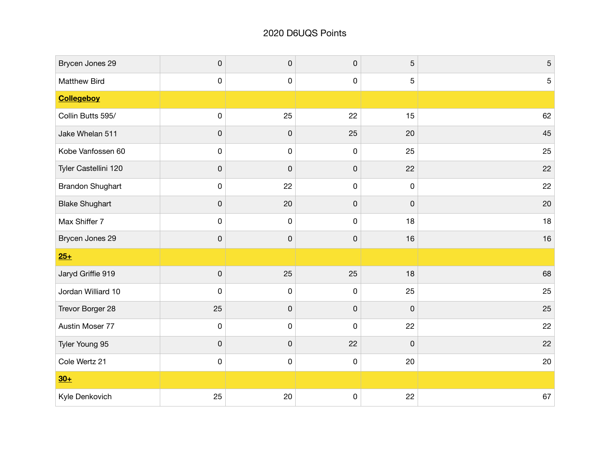| Brycen Jones 29         | $\pmb{0}$   | 0  | $\pmb{0}$   | 5  | $\mathbf 5$ |
|-------------------------|-------------|----|-------------|----|-------------|
| Matthew Bird            | 0           | 0  | 0           | 5  | 5           |
| <b>Collegeboy</b>       |             |    |             |    |             |
| Collin Butts 595/       | $\mathsf 0$ | 25 | 22          | 15 | 62          |
| Jake Whelan 511         | 0           | 0  | 25          | 20 | 45          |
| Kobe Vanfossen 60       | 0           | 0  | $\pmb{0}$   | 25 | 25          |
| Tyler Castellini 120    | 0           | 0  | 0           | 22 | 22          |
| <b>Brandon Shughart</b> | $\pmb{0}$   | 22 | 0           | 0  | 22          |
| <b>Blake Shughart</b>   | $\pmb{0}$   | 20 | 0           | 0  | 20          |
| Max Shiffer 7           | 0           | 0  | $\pmb{0}$   | 18 | 18          |
| Brycen Jones 29         | 0           | 0  | $\pmb{0}$   | 16 | 16          |
| $25+$                   |             |    |             |    |             |
| Jaryd Griffie 919       | $\pmb{0}$   | 25 | 25          | 18 | 68          |
| Jordan Williard 10      | 0           | 0  | $\pmb{0}$   | 25 | 25          |
| Trevor Borger 28        | 25          | 0  | 0           | 0  | 25          |
| Austin Moser 77         | $\pmb{0}$   | 0  | $\pmb{0}$   | 22 | 22          |
| Tyler Young 95          | $\pmb{0}$   | 0  | 22          | 0  | 22          |
| Cole Wertz 21           | 0           | 0  | $\pmb{0}$   | 20 | 20          |
| $30+$                   |             |    |             |    |             |
| Kyle Denkovich          | 25          | 20 | $\mathsf 0$ | 22 | 67          |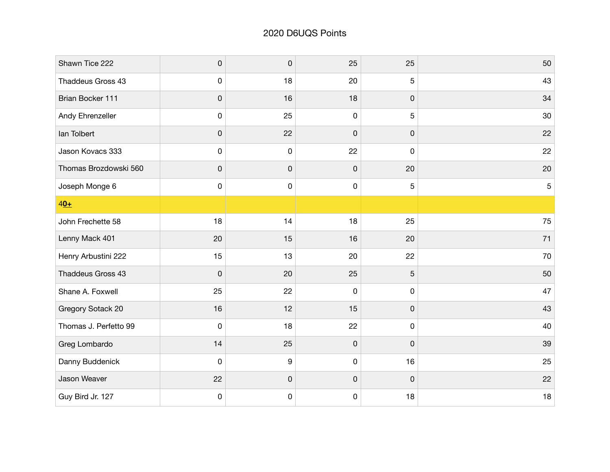| Shawn Tice 222        | $\pmb{0}$   | $\mathsf 0$ | 25          | 25 | 50         |
|-----------------------|-------------|-------------|-------------|----|------------|
| Thaddeus Gross 43     | 0           | 18          | 20          | 5  | 43         |
| Brian Bocker 111      | 0           | 16          | 18          | 0  | 34         |
| Andy Ehrenzeller      | $\pmb{0}$   | 25          | $\mathsf 0$ | 5  | 30         |
| lan Tolbert           | 0           | 22          | 0           | 0  | 22         |
| Jason Kovacs 333      | 0           | 0           | 22          | 0  | 22         |
| Thomas Brozdowski 560 | 0           | 0           | $\pmb{0}$   | 20 | 20         |
| Joseph Monge 6        | $\pmb{0}$   | 0           | 0           | 5  | $\sqrt{5}$ |
| $40+$                 |             |             |             |    |            |
| John Frechette 58     | 18          | 14          | 18          | 25 | 75         |
| Lenny Mack 401        | 20          | 15          | 16          | 20 | 71         |
| Henry Arbustini 222   | 15          | 13          | 20          | 22 | 70         |
| Thaddeus Gross 43     | $\mathsf 0$ | 20          | 25          | 5  | 50         |
| Shane A. Foxwell      | 25          | 22          | 0           | 0  | 47         |
| Gregory Sotack 20     | 16          | 12          | 15          | 0  | 43         |
| Thomas J. Perfetto 99 | $\mathbf 0$ | 18          | 22          | 0  | 40         |
| Greg Lombardo         | 14          | 25          | $\mathsf 0$ | 0  | 39         |
| Danny Buddenick       | 0           | 9           | $\mathsf 0$ | 16 | 25         |
| Jason Weaver          | 22          | 0           | 0           | 0  | 22         |
| Guy Bird Jr. 127      | 0           | 0           | 0           | 18 | 18         |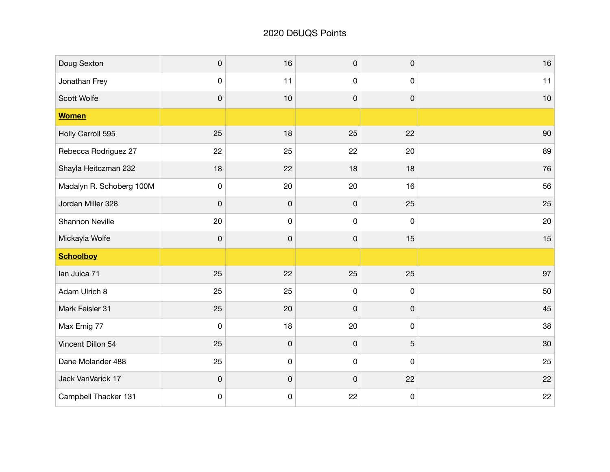| Doug Sexton              | $\mathsf 0$         | 16          | $\pmb{0}$    | $\mathsf{O}\xspace$ | 16 |
|--------------------------|---------------------|-------------|--------------|---------------------|----|
| Jonathan Frey            | 0                   | 11          | 0            | 0                   | 11 |
| Scott Wolfe              | $\mathsf 0$         | 10          | $\pmb{0}$    | $\pmb{0}$           | 10 |
| <b>Women</b>             |                     |             |              |                     |    |
| Holly Carroll 595        | 25                  | 18          | 25           | 22                  | 90 |
| Rebecca Rodriguez 27     | 22                  | 25          | 22           | 20                  | 89 |
| Shayla Heitczman 232     | 18                  | 22          | 18           | 18                  | 76 |
| Madalyn R. Schoberg 100M | $\mathsf 0$         | 20          | 20           | 16                  | 56 |
| Jordan Miller 328        | $\pmb{0}$           | 0           | $\mathsf{O}$ | 25                  | 25 |
| <b>Shannon Neville</b>   | 20                  | 0           | $\mathbf 0$  | $\pmb{0}$           | 20 |
| Mickayla Wolfe           | $\mathsf 0$         | 0           | $\pmb{0}$    | 15                  | 15 |
| <b>Schoolboy</b>         |                     |             |              |                     |    |
| lan Juica 71             | 25                  | 22          | 25           | 25                  | 97 |
| Adam Ulrich 8            | 25                  | 25          | $\pmb{0}$    | $\pmb{0}$           | 50 |
| Mark Feisler 31          | 25                  | 20          | $\pmb{0}$    | 0                   | 45 |
| Max Emig 77              | $\pmb{0}$           | 18          | 20           | $\pmb{0}$           | 38 |
| Vincent Dillon 54        | 25                  | 0           | $\pmb{0}$    | 5                   | 30 |
| Dane Molander 488        | 25                  | 0           | 0            | $\mathbf 0$         | 25 |
| Jack VanVarick 17        | $\mathsf{O}\xspace$ | $\mathsf 0$ | $\mathbf 0$  | 22                  | 22 |
| Campbell Thacker 131     | 0                   | 0           | 22           | $\pmb{0}$           | 22 |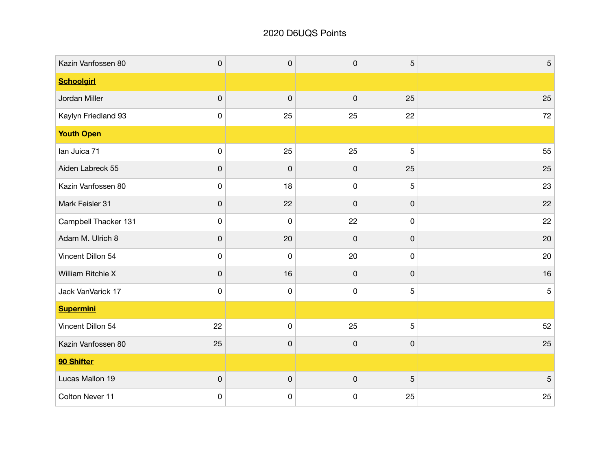## 2020 D6UQS Points

| Kazin Vanfossen 80   | $\pmb{0}$   | $\pmb{0}$   | $\mathsf{O}$        | 5           | $\sqrt{5}$     |
|----------------------|-------------|-------------|---------------------|-------------|----------------|
| <b>Schoolgirl</b>    |             |             |                     |             |                |
| Jordan Miller        | $\mathsf 0$ | $\mathsf 0$ | $\mathbf 0$         | 25          | 25             |
| Kaylyn Friedland 93  | $\pmb{0}$   | 25          | 25                  | 22          | 72             |
| <b>Youth Open</b>    |             |             |                     |             |                |
| lan Juica 71         | $\pmb{0}$   | 25          | 25                  | 5           | 55             |
| Aiden Labreck 55     | $\pmb{0}$   | $\mathsf 0$ | $\mathsf{O}\xspace$ | 25          | 25             |
| Kazin Vanfossen 80   | 0           | 18          | $\pmb{0}$           | 5           | 23             |
| Mark Feisler 31      | $\pmb{0}$   | 22          | $\pmb{0}$           | $\pmb{0}$   | 22             |
| Campbell Thacker 131 | 0           | 0           | 22                  | 0           | 22             |
| Adam M. Ulrich 8     | $\pmb{0}$   | 20          | $\pmb{0}$           | $\pmb{0}$   | 20             |
| Vincent Dillon 54    | 0           | 0           | 20                  | $\mathbf 0$ | 20             |
| William Ritchie X    | $\pmb{0}$   | 16          | $\mathsf{O}$        | $\mathbf 0$ | 16             |
| Jack VanVarick 17    | 0           | 0           | $\mathbf 0$         | 5           | 5              |
| <b>Supermini</b>     |             |             |                     |             |                |
| Vincent Dillon 54    | 22          | 0           | 25                  | 5           | 52             |
| Kazin Vanfossen 80   | 25          | 0           | $\mathsf 0$         | 0           | 25             |
| 90 Shifter           |             |             |                     |             |                |
| Lucas Mallon 19      | $\pmb{0}$   | $\pmb{0}$   | $\pmb{0}$           | 5           | $\overline{5}$ |
| Colton Never 11      | 0           | 0           | 0                   | 25          | 25             |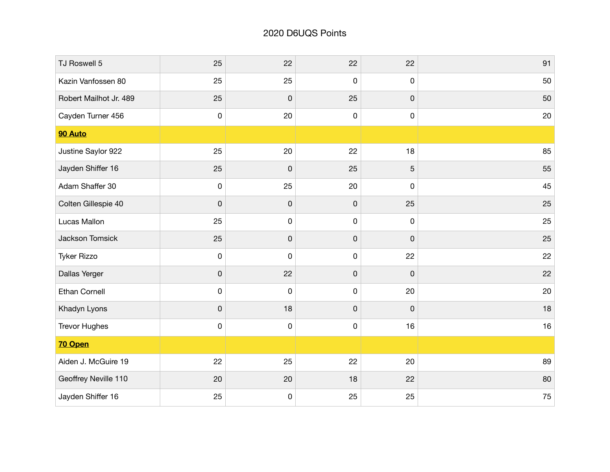| TJ Roswell 5           | 25        | 22 | 22          | 22 | 91 |
|------------------------|-----------|----|-------------|----|----|
| Kazin Vanfossen 80     | 25        | 25 | $\mathsf 0$ | 0  | 50 |
| Robert Mailhot Jr. 489 | 25        | 0  | 25          | 0  | 50 |
| Cayden Turner 456      | $\pmb{0}$ | 20 | $\mathsf 0$ | 0  | 20 |
| 90 Auto                |           |    |             |    |    |
| Justine Saylor 922     | 25        | 20 | 22          | 18 | 85 |
| Jayden Shiffer 16      | 25        | 0  | 25          | 5  | 55 |
| Adam Shaffer 30        | $\pmb{0}$ | 25 | 20          | 0  | 45 |
| Colten Gillespie 40    | 0         | 0  | $\mathsf 0$ | 25 | 25 |
| Lucas Mallon           | 25        | 0  | 0           | 0  | 25 |
| Jackson Tomsick        | 25        | 0  | 0           | 0  | 25 |
| <b>Tyker Rizzo</b>     | $\pmb{0}$ | 0  | 0           | 22 | 22 |
| Dallas Yerger          | 0         | 22 | 0           | 0  | 22 |
| <b>Ethan Cornell</b>   | $\pmb{0}$ | 0  | $\pmb{0}$   | 20 | 20 |
| Khadyn Lyons           | 0         | 18 | $\pmb{0}$   | 0  | 18 |
| <b>Trevor Hughes</b>   | $\pmb{0}$ | 0  | 0           | 16 | 16 |
| 70 Open                |           |    |             |    |    |
| Aiden J. McGuire 19    | 22        | 25 | 22          | 20 | 89 |
| Geoffrey Neville 110   | 20        | 20 | 18          | 22 | 80 |
| Jayden Shiffer 16      | 25        | 0  | 25          | 25 | 75 |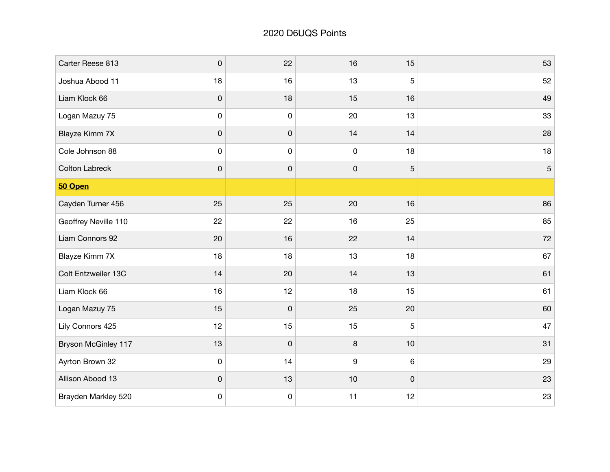| Carter Reese 813      | $\pmb{0}$ | 22          | 16        | 15 | 53             |
|-----------------------|-----------|-------------|-----------|----|----------------|
| Joshua Abood 11       | 18        | 16          | 13        | 5  | 52             |
| Liam Klock 66         | 0         | 18          | 15        | 16 | 49             |
| Logan Mazuy 75        | $\pmb{0}$ | $\mathsf 0$ | 20        | 13 | 33             |
| Blayze Kimm 7X        | 0         | 0           | 14        | 14 | 28             |
| Cole Johnson 88       | 0         | 0           | $\pmb{0}$ | 18 | 18             |
| <b>Colton Labreck</b> | 0         | 0           | $\pmb{0}$ | 5  | $\overline{5}$ |
| 50 Open               |           |             |           |    |                |
| Cayden Turner 456     | 25        | 25          | 20        | 16 | 86             |
| Geoffrey Neville 110  | 22        | 22          | 16        | 25 | 85             |
| Liam Connors 92       | 20        | 16          | 22        | 14 | 72             |
| Blayze Kimm 7X        | 18        | 18          | 13        | 18 | 67             |
| Colt Entzweiler 13C   | 14        | 20          | 14        | 13 | 61             |
| Liam Klock 66         | 16        | 12          | 18        | 15 | 61             |
| Logan Mazuy 75        | 15        | 0           | 25        | 20 | 60             |
| Lily Connors 425      | 12        | 15          | 15        | 5  | 47             |
| Bryson McGinley 117   | 13        | 0           | 8         | 10 | 31             |
| Ayrton Brown 32       | 0         | 14          | 9         | 6  | 29             |
| Allison Abood 13      | 0         | 13          | 10        | 0  | 23             |
| Brayden Markley 520   | 0         | 0           | 11        | 12 | 23             |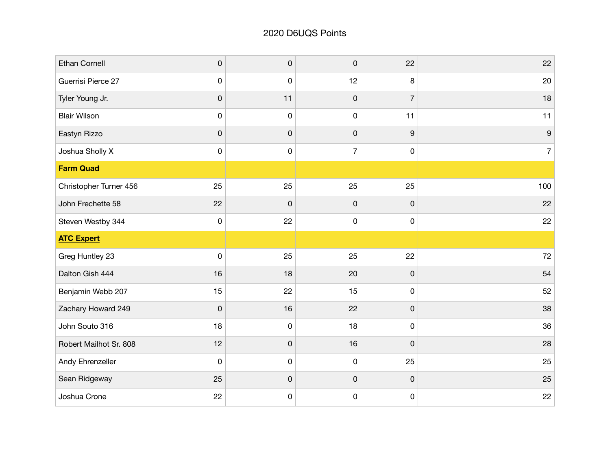| Ethan Cornell          | $\pmb{0}$   | $\pmb{0}$   | $\mathbf 0$    | 22                  | 22               |
|------------------------|-------------|-------------|----------------|---------------------|------------------|
| Guerrisi Pierce 27     | $\mathbf 0$ | $\mathsf 0$ | 12             | $\bf8$              | 20               |
| Tyler Young Jr.        | $\pmb{0}$   | 11          | $\pmb{0}$      | $\overline{7}$      | 18               |
| <b>Blair Wilson</b>    | $\pmb{0}$   | $\pmb{0}$   | $\mathbf 0$    | 11                  | 11               |
| Eastyn Rizzo           | $\pmb{0}$   | 0           | $\pmb{0}$      | $\boldsymbol{9}$    | $\boldsymbol{9}$ |
| Joshua Sholly X        | $\pmb{0}$   | $\pmb{0}$   | $\overline{7}$ | $\mathsf{O}$        | $\overline{7}$   |
| <b>Farm Quad</b>       |             |             |                |                     |                  |
| Christopher Turner 456 | 25          | 25          | 25             | 25                  | 100              |
| John Frechette 58      | 22          | 0           | $\mathsf 0$    | $\mathsf{O}\xspace$ | 22               |
| Steven Westby 344      | $\pmb{0}$   | 22          | $\pmb{0}$      | $\mathsf{O}$        | 22               |
| <b>ATC Expert</b>      |             |             |                |                     |                  |
| Greg Huntley 23        | $\mathbf 0$ | 25          | 25             | 22                  | 72               |
| Dalton Gish 444        | 16          | 18          | 20             | $\mathsf{O}\xspace$ | 54               |
| Benjamin Webb 207      | 15          | 22          | 15             | $\mathsf{O}$        | 52               |
| Zachary Howard 249     | $\pmb{0}$   | 16          | 22             | $\pmb{0}$           | 38               |
| John Souto 316         | 18          | $\pmb{0}$   | 18             | $\mathsf 0$         | 36               |
| Robert Mailhot Sr. 808 | 12          | 0           | 16             | $\pmb{0}$           | 28               |
| Andy Ehrenzeller       | $\mathbf 0$ | 0           | $\pmb{0}$      | 25                  | 25               |
| Sean Ridgeway          | 25          | 0           | $\mathsf 0$    | $\mathsf 0$         | 25               |
| Joshua Crone           | 22          | 0           | $\pmb{0}$      | $\mathsf 0$         | 22               |